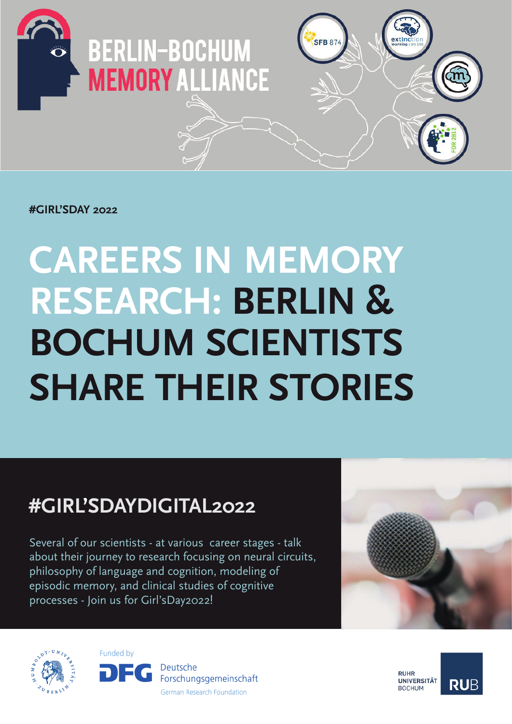

### **#GIRL'SDAY 2022**

# **CAREERS IN MEMORY RESEARCH: BERLIN & BOCHUM SCIENTISTS SHARE THEIR STORIES**

### **#GIRL'SDAYDIGITAL2022**

Several of our scientists - at various career stages - talk about their journey to research focusing on neural circuits, philosophy of language and cognition, modeling of episodic memory, and clinical studies of cognitive processes - Join us for Girl'sDay2022!







Deutsche Forschungsgemeinschaft German Research Foundation